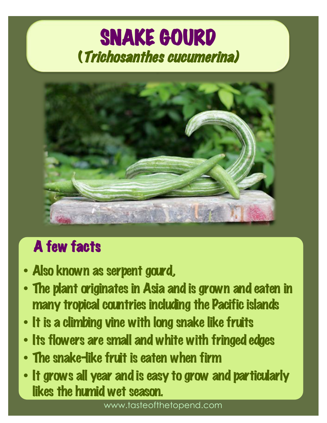# SNAKE GOURD<br>(Trichosanthes cucumerina)



## A few facts

- Also known as serpent gourd,
- The plant originates in Asia and is grown and eaten in many tropical countries including the Pacific islands
- It is a climbing vine with long snake like fruits
- Its flowers are small and white with fringed edges
- The snake-like fruit is eaten when firm
- It grows all year and is easy to grow and particularly likes the humid wet season.